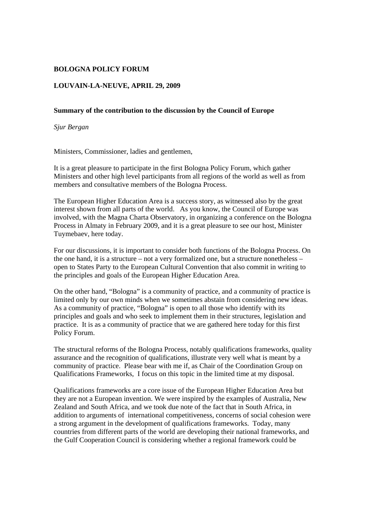## **BOLOGNA POLICY FORUM**

## **LOUVAIN-LA-NEUVE, APRIL 29, 2009**

## **Summary of the contribution to the discussion by the Council of Europe**

*Sjur Bergan* 

Ministers, Commissioner, ladies and gentlemen,

It is a great pleasure to participate in the first Bologna Policy Forum, which gather Ministers and other high level participants from all regions of the world as well as from members and consultative members of the Bologna Process.

The European Higher Education Area is a success story, as witnessed also by the great interest shown from all parts of the world. As you know, the Council of Europe was involved, with the Magna Charta Observatory, in organizing a conference on the Bologna Process in Almaty in February 2009, and it is a great pleasure to see our host, Minister Tuymebaev, here today.

For our discussions, it is important to consider both functions of the Bologna Process. On the one hand, it is a structure – not a very formalized one, but a structure nonetheless – open to States Party to the European Cultural Convention that also commit in writing to the principles and goals of the European Higher Education Area.

On the other hand, "Bologna" is a community of practice, and a community of practice is limited only by our own minds when we sometimes abstain from considering new ideas. As a community of practice, "Bologna" is open to all those who identify with its principles and goals and who seek to implement them in their structures, legislation and practice. It is as a community of practice that we are gathered here today for this first Policy Forum.

The structural reforms of the Bologna Process, notably qualifications frameworks, quality assurance and the recognition of qualifications, illustrate very well what is meant by a community of practice. Please bear with me if, as Chair of the Coordination Group on Qualifications Frameworks, I focus on this topic in the limited time at my disposal.

Qualifications frameworks are a core issue of the European Higher Education Area but they are not a European invention. We were inspired by the examples of Australia, New Zealand and South Africa, and we took due note of the fact that in South Africa, in addition to arguments of international competitiveness, concerns of social cohesion were a strong argument in the development of qualifications frameworks. Today, many countries from different parts of the world are developing their national frameworks, and the Gulf Cooperation Council is considering whether a regional framework could be